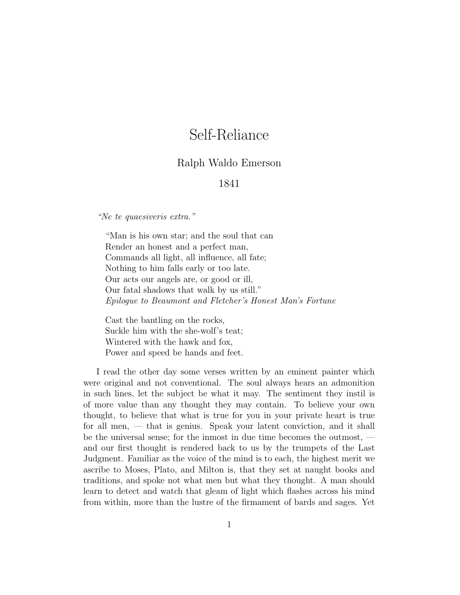## Self-Reliance

## Ralph Waldo Emerson

## 1841

"Ne te quaesiveris extra."

"Man is his own star; and the soul that can Render an honest and a perfect man, Commands all light, all influence, all fate; Nothing to him falls early or too late. Our acts our angels are, or good or ill, Our fatal shadows that walk by us still." Epilogue to Beaumont and Fletcher's Honest Man's Fortune

Cast the bantling on the rocks, Suckle him with the she-wolf's teat; Wintered with the hawk and fox, Power and speed be hands and feet.

I read the other day some verses written by an eminent painter which were original and not conventional. The soul always hears an admonition in such lines, let the subject be what it may. The sentiment they instil is of more value than any thought they may contain. To believe your own thought, to believe that what is true for you in your private heart is true for all men, — that is genius. Speak your latent conviction, and it shall be the universal sense; for the inmost in due time becomes the outmost, and our first thought is rendered back to us by the trumpets of the Last Judgment. Familiar as the voice of the mind is to each, the highest merit we ascribe to Moses, Plato, and Milton is, that they set at naught books and traditions, and spoke not what men but what they thought. A man should learn to detect and watch that gleam of light which flashes across his mind from within, more than the lustre of the firmament of bards and sages. Yet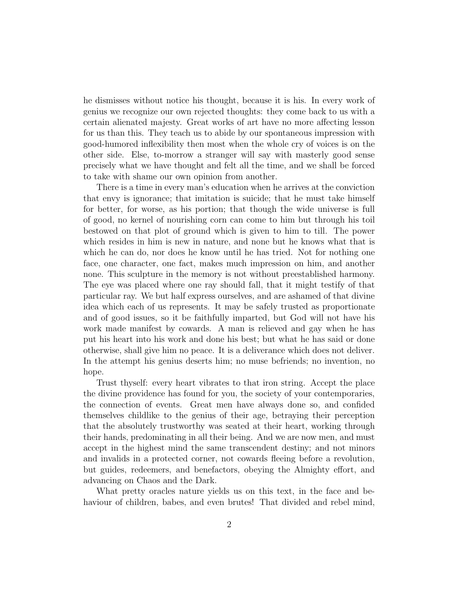he dismisses without notice his thought, because it is his. In every work of genius we recognize our own rejected thoughts: they come back to us with a certain alienated majesty. Great works of art have no more affecting lesson for us than this. They teach us to abide by our spontaneous impression with good-humored inflexibility then most when the whole cry of voices is on the other side. Else, to-morrow a stranger will say with masterly good sense precisely what we have thought and felt all the time, and we shall be forced to take with shame our own opinion from another.

There is a time in every man's education when he arrives at the conviction that envy is ignorance; that imitation is suicide; that he must take himself for better, for worse, as his portion; that though the wide universe is full of good, no kernel of nourishing corn can come to him but through his toil bestowed on that plot of ground which is given to him to till. The power which resides in him is new in nature, and none but he knows what that is which he can do, nor does he know until he has tried. Not for nothing one face, one character, one fact, makes much impression on him, and another none. This sculpture in the memory is not without preestablished harmony. The eye was placed where one ray should fall, that it might testify of that particular ray. We but half express ourselves, and are ashamed of that divine idea which each of us represents. It may be safely trusted as proportionate and of good issues, so it be faithfully imparted, but God will not have his work made manifest by cowards. A man is relieved and gay when he has put his heart into his work and done his best; but what he has said or done otherwise, shall give him no peace. It is a deliverance which does not deliver. In the attempt his genius deserts him; no muse befriends; no invention, no hope.

Trust thyself: every heart vibrates to that iron string. Accept the place the divine providence has found for you, the society of your contemporaries, the connection of events. Great men have always done so, and confided themselves childlike to the genius of their age, betraying their perception that the absolutely trustworthy was seated at their heart, working through their hands, predominating in all their being. And we are now men, and must accept in the highest mind the same transcendent destiny; and not minors and invalids in a protected corner, not cowards fleeing before a revolution, but guides, redeemers, and benefactors, obeying the Almighty effort, and advancing on Chaos and the Dark.

What pretty oracles nature yields us on this text, in the face and behaviour of children, babes, and even brutes! That divided and rebel mind,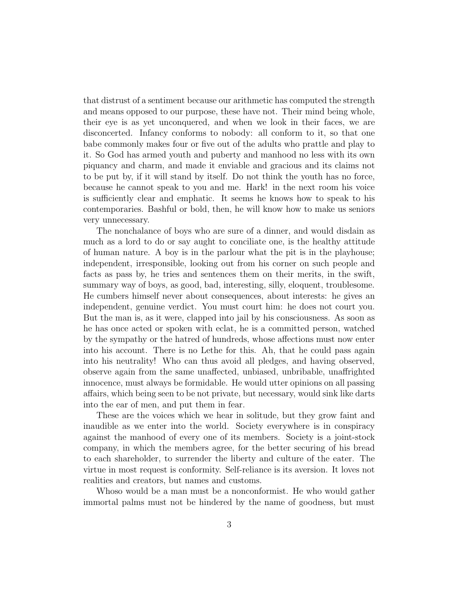that distrust of a sentiment because our arithmetic has computed the strength and means opposed to our purpose, these have not. Their mind being whole, their eye is as yet unconquered, and when we look in their faces, we are disconcerted. Infancy conforms to nobody: all conform to it, so that one babe commonly makes four or five out of the adults who prattle and play to it. So God has armed youth and puberty and manhood no less with its own piquancy and charm, and made it enviable and gracious and its claims not to be put by, if it will stand by itself. Do not think the youth has no force, because he cannot speak to you and me. Hark! in the next room his voice is sufficiently clear and emphatic. It seems he knows how to speak to his contemporaries. Bashful or bold, then, he will know how to make us seniors very unnecessary.

The nonchalance of boys who are sure of a dinner, and would disdain as much as a lord to do or say aught to conciliate one, is the healthy attitude of human nature. A boy is in the parlour what the pit is in the playhouse; independent, irresponsible, looking out from his corner on such people and facts as pass by, he tries and sentences them on their merits, in the swift, summary way of boys, as good, bad, interesting, silly, eloquent, troublesome. He cumbers himself never about consequences, about interests: he gives an independent, genuine verdict. You must court him: he does not court you. But the man is, as it were, clapped into jail by his consciousness. As soon as he has once acted or spoken with eclat, he is a committed person, watched by the sympathy or the hatred of hundreds, whose affections must now enter into his account. There is no Lethe for this. Ah, that he could pass again into his neutrality! Who can thus avoid all pledges, and having observed, observe again from the same unaffected, unbiased, unbribable, unaffrighted innocence, must always be formidable. He would utter opinions on all passing affairs, which being seen to be not private, but necessary, would sink like darts into the ear of men, and put them in fear.

These are the voices which we hear in solitude, but they grow faint and inaudible as we enter into the world. Society everywhere is in conspiracy against the manhood of every one of its members. Society is a joint-stock company, in which the members agree, for the better securing of his bread to each shareholder, to surrender the liberty and culture of the eater. The virtue in most request is conformity. Self-reliance is its aversion. It loves not realities and creators, but names and customs.

Whoso would be a man must be a nonconformist. He who would gather immortal palms must not be hindered by the name of goodness, but must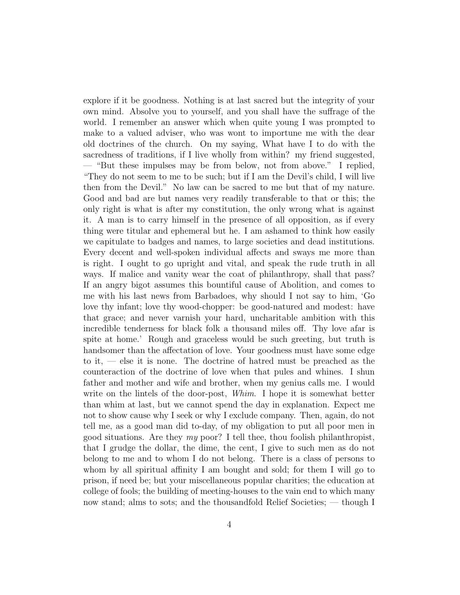explore if it be goodness. Nothing is at last sacred but the integrity of your own mind. Absolve you to yourself, and you shall have the suffrage of the world. I remember an answer which when quite young I was prompted to make to a valued adviser, who was wont to importune me with the dear old doctrines of the church. On my saying, What have I to do with the sacredness of traditions, if I live wholly from within? my friend suggested, — "But these impulses may be from below, not from above." I replied, "They do not seem to me to be such; but if I am the Devil's child, I will live then from the Devil." No law can be sacred to me but that of my nature. Good and bad are but names very readily transferable to that or this; the only right is what is after my constitution, the only wrong what is against it. A man is to carry himself in the presence of all opposition, as if every thing were titular and ephemeral but he. I am ashamed to think how easily we capitulate to badges and names, to large societies and dead institutions. Every decent and well-spoken individual affects and sways me more than is right. I ought to go upright and vital, and speak the rude truth in all ways. If malice and vanity wear the coat of philanthropy, shall that pass? If an angry bigot assumes this bountiful cause of Abolition, and comes to me with his last news from Barbadoes, why should I not say to him, 'Go love thy infant; love thy wood-chopper: be good-natured and modest: have that grace; and never varnish your hard, uncharitable ambition with this incredible tenderness for black folk a thousand miles off. Thy love afar is spite at home.' Rough and graceless would be such greeting, but truth is handsomer than the affectation of love. Your goodness must have some edge to it, — else it is none. The doctrine of hatred must be preached as the counteraction of the doctrine of love when that pules and whines. I shun father and mother and wife and brother, when my genius calls me. I would write on the lintels of the door-post, *Whim*. I hope it is somewhat better than whim at last, but we cannot spend the day in explanation. Expect me not to show cause why I seek or why I exclude company. Then, again, do not tell me, as a good man did to-day, of my obligation to put all poor men in good situations. Are they  $my$  poor? I tell thee, thou foolish philanthropist, that I grudge the dollar, the dime, the cent, I give to such men as do not belong to me and to whom I do not belong. There is a class of persons to whom by all spiritual affinity I am bought and sold; for them I will go to prison, if need be; but your miscellaneous popular charities; the education at college of fools; the building of meeting-houses to the vain end to which many now stand; alms to sots; and the thousandfold Relief Societies; — though I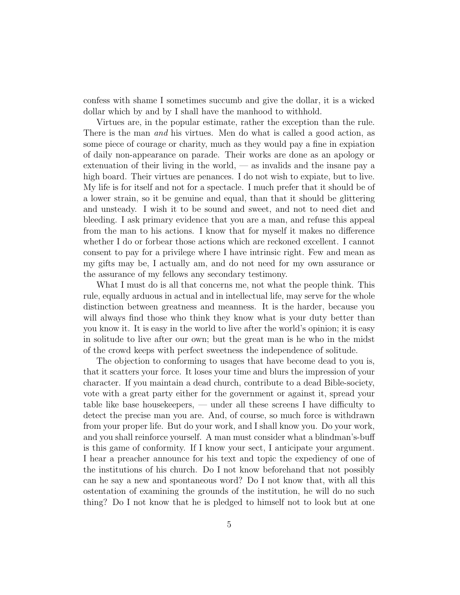confess with shame I sometimes succumb and give the dollar, it is a wicked dollar which by and by I shall have the manhood to withhold.

Virtues are, in the popular estimate, rather the exception than the rule. There is the man and his virtues. Men do what is called a good action, as some piece of courage or charity, much as they would pay a fine in expiation of daily non-appearance on parade. Their works are done as an apology or extenuation of their living in the world, — as invalids and the insane pay a high board. Their virtues are penances. I do not wish to expiate, but to live. My life is for itself and not for a spectacle. I much prefer that it should be of a lower strain, so it be genuine and equal, than that it should be glittering and unsteady. I wish it to be sound and sweet, and not to need diet and bleeding. I ask primary evidence that you are a man, and refuse this appeal from the man to his actions. I know that for myself it makes no difference whether I do or forbear those actions which are reckoned excellent. I cannot consent to pay for a privilege where I have intrinsic right. Few and mean as my gifts may be, I actually am, and do not need for my own assurance or the assurance of my fellows any secondary testimony.

What I must do is all that concerns me, not what the people think. This rule, equally arduous in actual and in intellectual life, may serve for the whole distinction between greatness and meanness. It is the harder, because you will always find those who think they know what is your duty better than you know it. It is easy in the world to live after the world's opinion; it is easy in solitude to live after our own; but the great man is he who in the midst of the crowd keeps with perfect sweetness the independence of solitude.

The objection to conforming to usages that have become dead to you is, that it scatters your force. It loses your time and blurs the impression of your character. If you maintain a dead church, contribute to a dead Bible-society, vote with a great party either for the government or against it, spread your table like base housekeepers, — under all these screens I have difficulty to detect the precise man you are. And, of course, so much force is withdrawn from your proper life. But do your work, and I shall know you. Do your work, and you shall reinforce yourself. A man must consider what a blindman's-buff is this game of conformity. If I know your sect, I anticipate your argument. I hear a preacher announce for his text and topic the expediency of one of the institutions of his church. Do I not know beforehand that not possibly can he say a new and spontaneous word? Do I not know that, with all this ostentation of examining the grounds of the institution, he will do no such thing? Do I not know that he is pledged to himself not to look but at one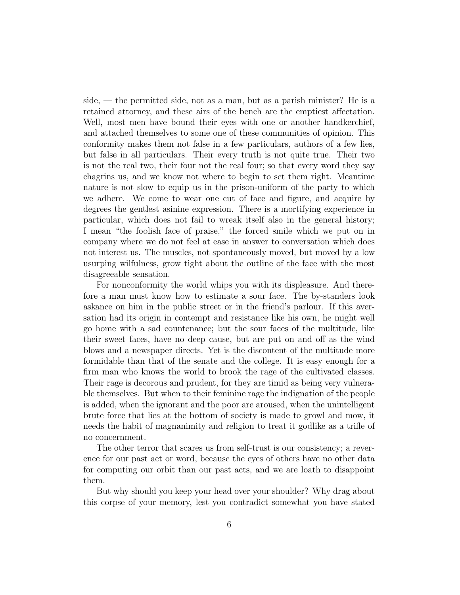side, — the permitted side, not as a man, but as a parish minister? He is a retained attorney, and these airs of the bench are the emptiest affectation. Well, most men have bound their eyes with one or another handkerchief, and attached themselves to some one of these communities of opinion. This conformity makes them not false in a few particulars, authors of a few lies, but false in all particulars. Their every truth is not quite true. Their two is not the real two, their four not the real four; so that every word they say chagrins us, and we know not where to begin to set them right. Meantime nature is not slow to equip us in the prison-uniform of the party to which we adhere. We come to wear one cut of face and figure, and acquire by degrees the gentlest asinine expression. There is a mortifying experience in particular, which does not fail to wreak itself also in the general history; I mean "the foolish face of praise," the forced smile which we put on in company where we do not feel at ease in answer to conversation which does not interest us. The muscles, not spontaneously moved, but moved by a low usurping wilfulness, grow tight about the outline of the face with the most disagreeable sensation.

For nonconformity the world whips you with its displeasure. And therefore a man must know how to estimate a sour face. The by-standers look askance on him in the public street or in the friend's parlour. If this aversation had its origin in contempt and resistance like his own, he might well go home with a sad countenance; but the sour faces of the multitude, like their sweet faces, have no deep cause, but are put on and off as the wind blows and a newspaper directs. Yet is the discontent of the multitude more formidable than that of the senate and the college. It is easy enough for a firm man who knows the world to brook the rage of the cultivated classes. Their rage is decorous and prudent, for they are timid as being very vulnerable themselves. But when to their feminine rage the indignation of the people is added, when the ignorant and the poor are aroused, when the unintelligent brute force that lies at the bottom of society is made to growl and mow, it needs the habit of magnanimity and religion to treat it godlike as a trifle of no concernment.

The other terror that scares us from self-trust is our consistency; a reverence for our past act or word, because the eyes of others have no other data for computing our orbit than our past acts, and we are loath to disappoint them.

But why should you keep your head over your shoulder? Why drag about this corpse of your memory, lest you contradict somewhat you have stated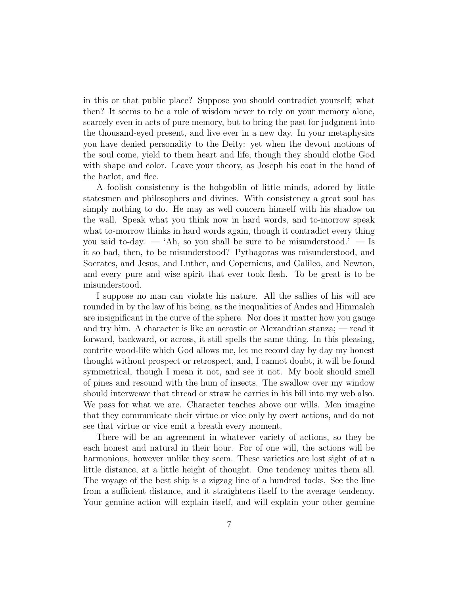in this or that public place? Suppose you should contradict yourself; what then? It seems to be a rule of wisdom never to rely on your memory alone, scarcely even in acts of pure memory, but to bring the past for judgment into the thousand-eyed present, and live ever in a new day. In your metaphysics you have denied personality to the Deity: yet when the devout motions of the soul come, yield to them heart and life, though they should clothe God with shape and color. Leave your theory, as Joseph his coat in the hand of the harlot, and flee.

A foolish consistency is the hobgoblin of little minds, adored by little statesmen and philosophers and divines. With consistency a great soul has simply nothing to do. He may as well concern himself with his shadow on the wall. Speak what you think now in hard words, and to-morrow speak what to-morrow thinks in hard words again, though it contradict every thing you said to-day.  $-$  'Ah, so you shall be sure to be misunderstood.'  $-$  Is it so bad, then, to be misunderstood? Pythagoras was misunderstood, and Socrates, and Jesus, and Luther, and Copernicus, and Galileo, and Newton, and every pure and wise spirit that ever took flesh. To be great is to be misunderstood.

I suppose no man can violate his nature. All the sallies of his will are rounded in by the law of his being, as the inequalities of Andes and Himmaleh are insignificant in the curve of the sphere. Nor does it matter how you gauge and try him. A character is like an acrostic or Alexandrian stanza; — read it forward, backward, or across, it still spells the same thing. In this pleasing, contrite wood-life which God allows me, let me record day by day my honest thought without prospect or retrospect, and, I cannot doubt, it will be found symmetrical, though I mean it not, and see it not. My book should smell of pines and resound with the hum of insects. The swallow over my window should interweave that thread or straw he carries in his bill into my web also. We pass for what we are. Character teaches above our wills. Men imagine that they communicate their virtue or vice only by overt actions, and do not see that virtue or vice emit a breath every moment.

There will be an agreement in whatever variety of actions, so they be each honest and natural in their hour. For of one will, the actions will be harmonious, however unlike they seem. These varieties are lost sight of at a little distance, at a little height of thought. One tendency unites them all. The voyage of the best ship is a zigzag line of a hundred tacks. See the line from a sufficient distance, and it straightens itself to the average tendency. Your genuine action will explain itself, and will explain your other genuine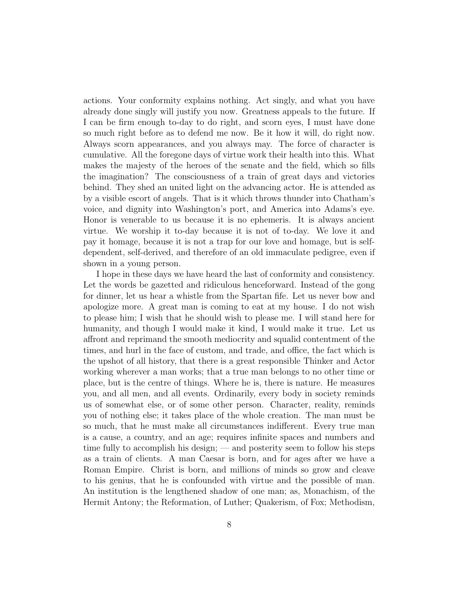actions. Your conformity explains nothing. Act singly, and what you have already done singly will justify you now. Greatness appeals to the future. If I can be firm enough to-day to do right, and scorn eyes, I must have done so much right before as to defend me now. Be it how it will, do right now. Always scorn appearances, and you always may. The force of character is cumulative. All the foregone days of virtue work their health into this. What makes the majesty of the heroes of the senate and the field, which so fills the imagination? The consciousness of a train of great days and victories behind. They shed an united light on the advancing actor. He is attended as by a visible escort of angels. That is it which throws thunder into Chatham's voice, and dignity into Washington's port, and America into Adams's eye. Honor is venerable to us because it is no ephemeris. It is always ancient virtue. We worship it to-day because it is not of to-day. We love it and pay it homage, because it is not a trap for our love and homage, but is selfdependent, self-derived, and therefore of an old immaculate pedigree, even if shown in a young person.

I hope in these days we have heard the last of conformity and consistency. Let the words be gazetted and ridiculous henceforward. Instead of the gong for dinner, let us hear a whistle from the Spartan fife. Let us never bow and apologize more. A great man is coming to eat at my house. I do not wish to please him; I wish that he should wish to please me. I will stand here for humanity, and though I would make it kind, I would make it true. Let us affront and reprimand the smooth mediocrity and squalid contentment of the times, and hurl in the face of custom, and trade, and office, the fact which is the upshot of all history, that there is a great responsible Thinker and Actor working wherever a man works; that a true man belongs to no other time or place, but is the centre of things. Where he is, there is nature. He measures you, and all men, and all events. Ordinarily, every body in society reminds us of somewhat else, or of some other person. Character, reality, reminds you of nothing else; it takes place of the whole creation. The man must be so much, that he must make all circumstances indifferent. Every true man is a cause, a country, and an age; requires infinite spaces and numbers and time fully to accomplish his design; — and posterity seem to follow his steps as a train of clients. A man Caesar is born, and for ages after we have a Roman Empire. Christ is born, and millions of minds so grow and cleave to his genius, that he is confounded with virtue and the possible of man. An institution is the lengthened shadow of one man; as, Monachism, of the Hermit Antony; the Reformation, of Luther; Quakerism, of Fox; Methodism,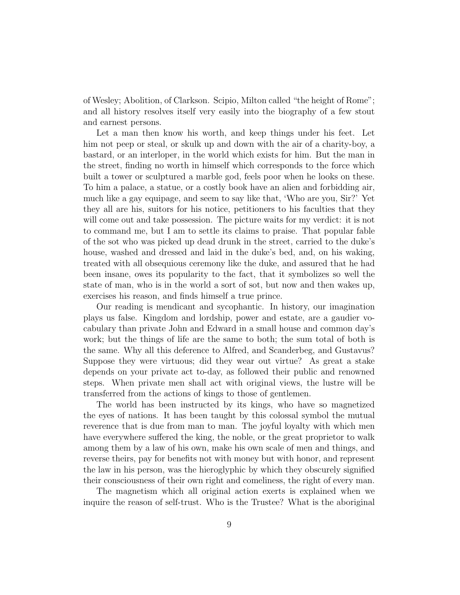of Wesley; Abolition, of Clarkson. Scipio, Milton called "the height of Rome"; and all history resolves itself very easily into the biography of a few stout and earnest persons.

Let a man then know his worth, and keep things under his feet. Let him not peep or steal, or skulk up and down with the air of a charity-boy, a bastard, or an interloper, in the world which exists for him. But the man in the street, finding no worth in himself which corresponds to the force which built a tower or sculptured a marble god, feels poor when he looks on these. To him a palace, a statue, or a costly book have an alien and forbidding air, much like a gay equipage, and seem to say like that, 'Who are you, Sir?' Yet they all are his, suitors for his notice, petitioners to his faculties that they will come out and take possession. The picture waits for my verdict: it is not to command me, but I am to settle its claims to praise. That popular fable of the sot who was picked up dead drunk in the street, carried to the duke's house, washed and dressed and laid in the duke's bed, and, on his waking, treated with all obsequious ceremony like the duke, and assured that he had been insane, owes its popularity to the fact, that it symbolizes so well the state of man, who is in the world a sort of sot, but now and then wakes up, exercises his reason, and finds himself a true prince.

Our reading is mendicant and sycophantic. In history, our imagination plays us false. Kingdom and lordship, power and estate, are a gaudier vocabulary than private John and Edward in a small house and common day's work; but the things of life are the same to both; the sum total of both is the same. Why all this deference to Alfred, and Scanderbeg, and Gustavus? Suppose they were virtuous; did they wear out virtue? As great a stake depends on your private act to-day, as followed their public and renowned steps. When private men shall act with original views, the lustre will be transferred from the actions of kings to those of gentlemen.

The world has been instructed by its kings, who have so magnetized the eyes of nations. It has been taught by this colossal symbol the mutual reverence that is due from man to man. The joyful loyalty with which men have everywhere suffered the king, the noble, or the great proprietor to walk among them by a law of his own, make his own scale of men and things, and reverse theirs, pay for benefits not with money but with honor, and represent the law in his person, was the hieroglyphic by which they obscurely signified their consciousness of their own right and comeliness, the right of every man.

The magnetism which all original action exerts is explained when we inquire the reason of self-trust. Who is the Trustee? What is the aboriginal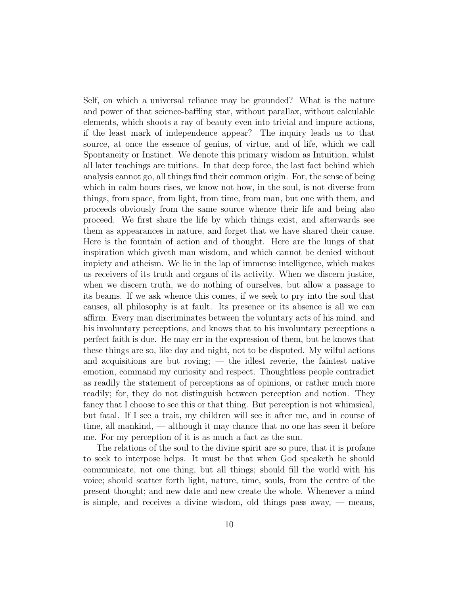Self, on which a universal reliance may be grounded? What is the nature and power of that science-baffling star, without parallax, without calculable elements, which shoots a ray of beauty even into trivial and impure actions, if the least mark of independence appear? The inquiry leads us to that source, at once the essence of genius, of virtue, and of life, which we call Spontaneity or Instinct. We denote this primary wisdom as Intuition, whilst all later teachings are tuitions. In that deep force, the last fact behind which analysis cannot go, all things find their common origin. For, the sense of being which in calm hours rises, we know not how, in the soul, is not diverse from things, from space, from light, from time, from man, but one with them, and proceeds obviously from the same source whence their life and being also proceed. We first share the life by which things exist, and afterwards see them as appearances in nature, and forget that we have shared their cause. Here is the fountain of action and of thought. Here are the lungs of that inspiration which giveth man wisdom, and which cannot be denied without impiety and atheism. We lie in the lap of immense intelligence, which makes us receivers of its truth and organs of its activity. When we discern justice, when we discern truth, we do nothing of ourselves, but allow a passage to its beams. If we ask whence this comes, if we seek to pry into the soul that causes, all philosophy is at fault. Its presence or its absence is all we can affirm. Every man discriminates between the voluntary acts of his mind, and his involuntary perceptions, and knows that to his involuntary perceptions a perfect faith is due. He may err in the expression of them, but he knows that these things are so, like day and night, not to be disputed. My wilful actions and acquisitions are but roving; — the idlest reverie, the faintest native emotion, command my curiosity and respect. Thoughtless people contradict as readily the statement of perceptions as of opinions, or rather much more readily; for, they do not distinguish between perception and notion. They fancy that I choose to see this or that thing. But perception is not whimsical, but fatal. If I see a trait, my children will see it after me, and in course of time, all mankind, — although it may chance that no one has seen it before me. For my perception of it is as much a fact as the sun.

The relations of the soul to the divine spirit are so pure, that it is profane to seek to interpose helps. It must be that when God speaketh he should communicate, not one thing, but all things; should fill the world with his voice; should scatter forth light, nature, time, souls, from the centre of the present thought; and new date and new create the whole. Whenever a mind is simple, and receives a divine wisdom, old things pass away, — means,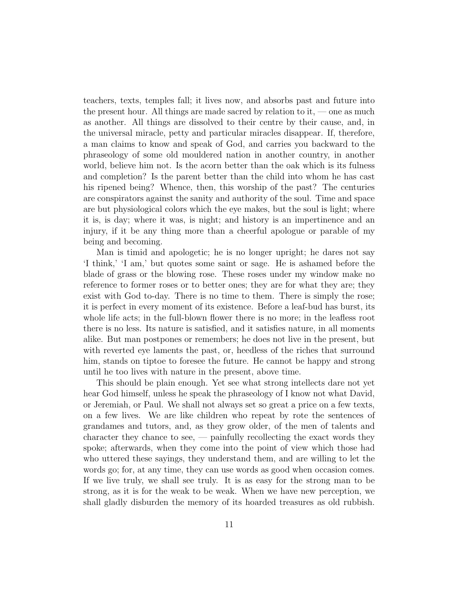teachers, texts, temples fall; it lives now, and absorbs past and future into the present hour. All things are made sacred by relation to it, — one as much as another. All things are dissolved to their centre by their cause, and, in the universal miracle, petty and particular miracles disappear. If, therefore, a man claims to know and speak of God, and carries you backward to the phraseology of some old mouldered nation in another country, in another world, believe him not. Is the acorn better than the oak which is its fulness and completion? Is the parent better than the child into whom he has cast his ripened being? Whence, then, this worship of the past? The centuries are conspirators against the sanity and authority of the soul. Time and space are but physiological colors which the eye makes, but the soul is light; where it is, is day; where it was, is night; and history is an impertinence and an injury, if it be any thing more than a cheerful apologue or parable of my being and becoming.

Man is timid and apologetic; he is no longer upright; he dares not say 'I think,' 'I am,' but quotes some saint or sage. He is ashamed before the blade of grass or the blowing rose. These roses under my window make no reference to former roses or to better ones; they are for what they are; they exist with God to-day. There is no time to them. There is simply the rose; it is perfect in every moment of its existence. Before a leaf-bud has burst, its whole life acts; in the full-blown flower there is no more; in the leafless root there is no less. Its nature is satisfied, and it satisfies nature, in all moments alike. But man postpones or remembers; he does not live in the present, but with reverted eye laments the past, or, heedless of the riches that surround him, stands on tiptoe to foresee the future. He cannot be happy and strong until he too lives with nature in the present, above time.

This should be plain enough. Yet see what strong intellects dare not yet hear God himself, unless he speak the phraseology of I know not what David, or Jeremiah, or Paul. We shall not always set so great a price on a few texts, on a few lives. We are like children who repeat by rote the sentences of grandames and tutors, and, as they grow older, of the men of talents and character they chance to see, — painfully recollecting the exact words they spoke; afterwards, when they come into the point of view which those had who uttered these sayings, they understand them, and are willing to let the words go; for, at any time, they can use words as good when occasion comes. If we live truly, we shall see truly. It is as easy for the strong man to be strong, as it is for the weak to be weak. When we have new perception, we shall gladly disburden the memory of its hoarded treasures as old rubbish.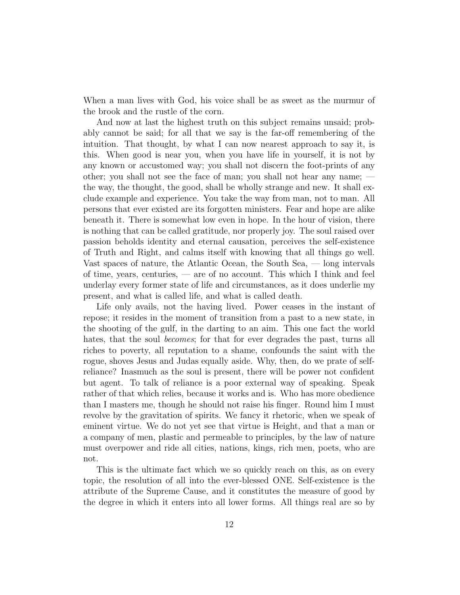When a man lives with God, his voice shall be as sweet as the murmur of the brook and the rustle of the corn.

And now at last the highest truth on this subject remains unsaid; probably cannot be said; for all that we say is the far-off remembering of the intuition. That thought, by what I can now nearest approach to say it, is this. When good is near you, when you have life in yourself, it is not by any known or accustomed way; you shall not discern the foot-prints of any other; you shall not see the face of man; you shall not hear any name; the way, the thought, the good, shall be wholly strange and new. It shall exclude example and experience. You take the way from man, not to man. All persons that ever existed are its forgotten ministers. Fear and hope are alike beneath it. There is somewhat low even in hope. In the hour of vision, there is nothing that can be called gratitude, nor properly joy. The soul raised over passion beholds identity and eternal causation, perceives the self-existence of Truth and Right, and calms itself with knowing that all things go well. Vast spaces of nature, the Atlantic Ocean, the South Sea, — long intervals of time, years, centuries, — are of no account. This which I think and feel underlay every former state of life and circumstances, as it does underlie my present, and what is called life, and what is called death.

Life only avails, not the having lived. Power ceases in the instant of repose; it resides in the moment of transition from a past to a new state, in the shooting of the gulf, in the darting to an aim. This one fact the world hates, that the soul *becomes*; for that for ever degrades the past, turns all riches to poverty, all reputation to a shame, confounds the saint with the rogue, shoves Jesus and Judas equally aside. Why, then, do we prate of selfreliance? Inasmuch as the soul is present, there will be power not confident but agent. To talk of reliance is a poor external way of speaking. Speak rather of that which relies, because it works and is. Who has more obedience than I masters me, though he should not raise his finger. Round him I must revolve by the gravitation of spirits. We fancy it rhetoric, when we speak of eminent virtue. We do not yet see that virtue is Height, and that a man or a company of men, plastic and permeable to principles, by the law of nature must overpower and ride all cities, nations, kings, rich men, poets, who are not.

This is the ultimate fact which we so quickly reach on this, as on every topic, the resolution of all into the ever-blessed ONE. Self-existence is the attribute of the Supreme Cause, and it constitutes the measure of good by the degree in which it enters into all lower forms. All things real are so by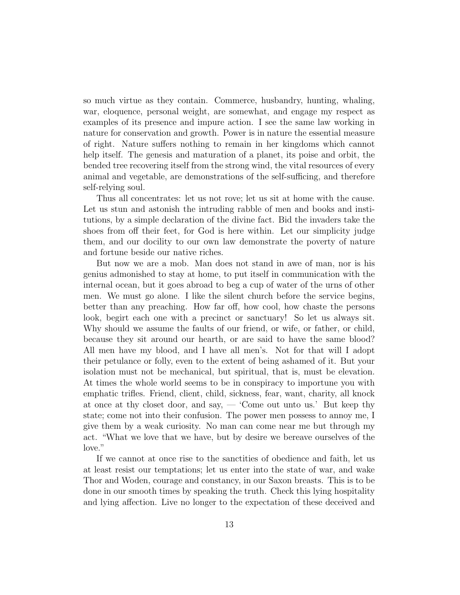so much virtue as they contain. Commerce, husbandry, hunting, whaling, war, eloquence, personal weight, are somewhat, and engage my respect as examples of its presence and impure action. I see the same law working in nature for conservation and growth. Power is in nature the essential measure of right. Nature suffers nothing to remain in her kingdoms which cannot help itself. The genesis and maturation of a planet, its poise and orbit, the bended tree recovering itself from the strong wind, the vital resources of every animal and vegetable, are demonstrations of the self-sufficing, and therefore self-relying soul.

Thus all concentrates: let us not rove; let us sit at home with the cause. Let us stun and astonish the intruding rabble of men and books and institutions, by a simple declaration of the divine fact. Bid the invaders take the shoes from off their feet, for God is here within. Let our simplicity judge them, and our docility to our own law demonstrate the poverty of nature and fortune beside our native riches.

But now we are a mob. Man does not stand in awe of man, nor is his genius admonished to stay at home, to put itself in communication with the internal ocean, but it goes abroad to beg a cup of water of the urns of other men. We must go alone. I like the silent church before the service begins, better than any preaching. How far off, how cool, how chaste the persons look, begirt each one with a precinct or sanctuary! So let us always sit. Why should we assume the faults of our friend, or wife, or father, or child, because they sit around our hearth, or are said to have the same blood? All men have my blood, and I have all men's. Not for that will I adopt their petulance or folly, even to the extent of being ashamed of it. But your isolation must not be mechanical, but spiritual, that is, must be elevation. At times the whole world seems to be in conspiracy to importune you with emphatic trifles. Friend, client, child, sickness, fear, want, charity, all knock at once at thy closet door, and say,  $-$  'Come out unto us.' But keep thy state; come not into their confusion. The power men possess to annoy me, I give them by a weak curiosity. No man can come near me but through my act. "What we love that we have, but by desire we bereave ourselves of the love."

If we cannot at once rise to the sanctities of obedience and faith, let us at least resist our temptations; let us enter into the state of war, and wake Thor and Woden, courage and constancy, in our Saxon breasts. This is to be done in our smooth times by speaking the truth. Check this lying hospitality and lying affection. Live no longer to the expectation of these deceived and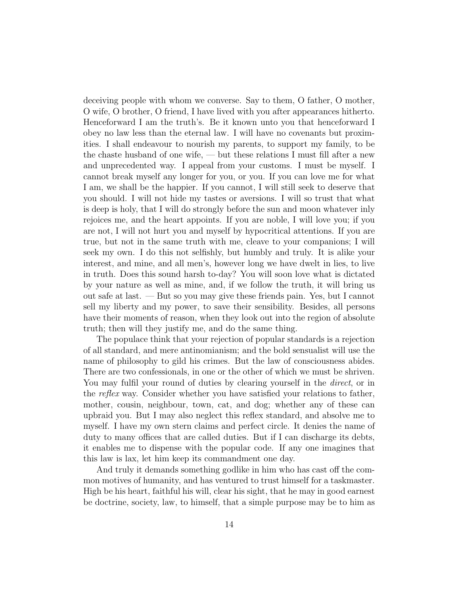deceiving people with whom we converse. Say to them, O father, O mother, O wife, O brother, O friend, I have lived with you after appearances hitherto. Henceforward I am the truth's. Be it known unto you that henceforward I obey no law less than the eternal law. I will have no covenants but proximities. I shall endeavour to nourish my parents, to support my family, to be the chaste husband of one wife, — but these relations I must fill after a new and unprecedented way. I appeal from your customs. I must be myself. I cannot break myself any longer for you, or you. If you can love me for what I am, we shall be the happier. If you cannot, I will still seek to deserve that you should. I will not hide my tastes or aversions. I will so trust that what is deep is holy, that I will do strongly before the sun and moon whatever inly rejoices me, and the heart appoints. If you are noble, I will love you; if you are not, I will not hurt you and myself by hypocritical attentions. If you are true, but not in the same truth with me, cleave to your companions; I will seek my own. I do this not selfishly, but humbly and truly. It is alike your interest, and mine, and all men's, however long we have dwelt in lies, to live in truth. Does this sound harsh to-day? You will soon love what is dictated by your nature as well as mine, and, if we follow the truth, it will bring us out safe at last. — But so you may give these friends pain. Yes, but I cannot sell my liberty and my power, to save their sensibility. Besides, all persons have their moments of reason, when they look out into the region of absolute truth; then will they justify me, and do the same thing.

The populace think that your rejection of popular standards is a rejection of all standard, and mere antinomianism; and the bold sensualist will use the name of philosophy to gild his crimes. But the law of consciousness abides. There are two confessionals, in one or the other of which we must be shriven. You may fulfil your round of duties by clearing yourself in the *direct*, or in the reflex way. Consider whether you have satisfied your relations to father, mother, cousin, neighbour, town, cat, and dog; whether any of these can upbraid you. But I may also neglect this reflex standard, and absolve me to myself. I have my own stern claims and perfect circle. It denies the name of duty to many offices that are called duties. But if I can discharge its debts, it enables me to dispense with the popular code. If any one imagines that this law is lax, let him keep its commandment one day.

And truly it demands something godlike in him who has cast off the common motives of humanity, and has ventured to trust himself for a taskmaster. High be his heart, faithful his will, clear his sight, that he may in good earnest be doctrine, society, law, to himself, that a simple purpose may be to him as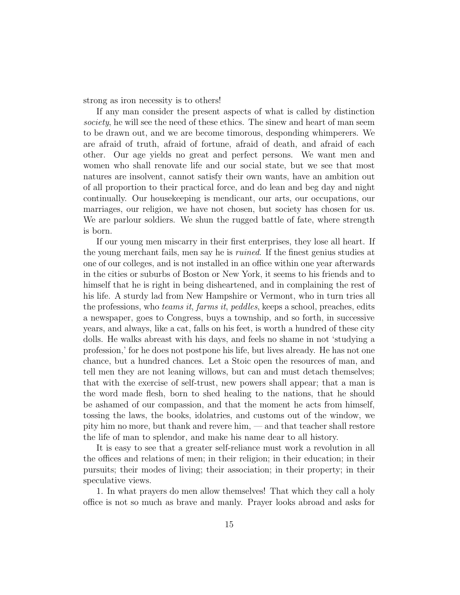strong as iron necessity is to others!

If any man consider the present aspects of what is called by distinction society, he will see the need of these ethics. The sinew and heart of man seem to be drawn out, and we are become timorous, desponding whimperers. We are afraid of truth, afraid of fortune, afraid of death, and afraid of each other. Our age yields no great and perfect persons. We want men and women who shall renovate life and our social state, but we see that most natures are insolvent, cannot satisfy their own wants, have an ambition out of all proportion to their practical force, and do lean and beg day and night continually. Our housekeeping is mendicant, our arts, our occupations, our marriages, our religion, we have not chosen, but society has chosen for us. We are parlour soldiers. We shun the rugged battle of fate, where strength is born.

If our young men miscarry in their first enterprises, they lose all heart. If the young merchant fails, men say he is ruined. If the finest genius studies at one of our colleges, and is not installed in an office within one year afterwards in the cities or suburbs of Boston or New York, it seems to his friends and to himself that he is right in being disheartened, and in complaining the rest of his life. A sturdy lad from New Hampshire or Vermont, who in turn tries all the professions, who teams it, farms it, peddles, keeps a school, preaches, edits a newspaper, goes to Congress, buys a township, and so forth, in successive years, and always, like a cat, falls on his feet, is worth a hundred of these city dolls. He walks abreast with his days, and feels no shame in not 'studying a profession,' for he does not postpone his life, but lives already. He has not one chance, but a hundred chances. Let a Stoic open the resources of man, and tell men they are not leaning willows, but can and must detach themselves; that with the exercise of self-trust, new powers shall appear; that a man is the word made flesh, born to shed healing to the nations, that he should be ashamed of our compassion, and that the moment he acts from himself, tossing the laws, the books, idolatries, and customs out of the window, we pity him no more, but thank and revere him, — and that teacher shall restore the life of man to splendor, and make his name dear to all history.

It is easy to see that a greater self-reliance must work a revolution in all the offices and relations of men; in their religion; in their education; in their pursuits; their modes of living; their association; in their property; in their speculative views.

1. In what prayers do men allow themselves! That which they call a holy office is not so much as brave and manly. Prayer looks abroad and asks for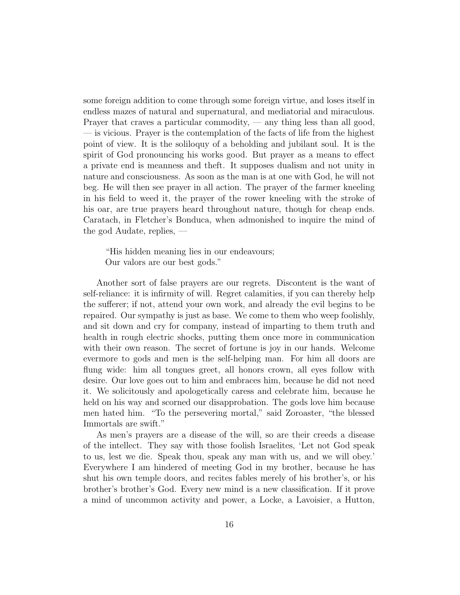some foreign addition to come through some foreign virtue, and loses itself in endless mazes of natural and supernatural, and mediatorial and miraculous. Prayer that craves a particular commodity, — any thing less than all good, — is vicious. Prayer is the contemplation of the facts of life from the highest point of view. It is the soliloquy of a beholding and jubilant soul. It is the spirit of God pronouncing his works good. But prayer as a means to effect a private end is meanness and theft. It supposes dualism and not unity in nature and consciousness. As soon as the man is at one with God, he will not beg. He will then see prayer in all action. The prayer of the farmer kneeling in his field to weed it, the prayer of the rower kneeling with the stroke of his oar, are true prayers heard throughout nature, though for cheap ends. Caratach, in Fletcher's Bonduca, when admonished to inquire the mind of the god Audate, replies, —

"His hidden meaning lies in our endeavours; Our valors are our best gods."

Another sort of false prayers are our regrets. Discontent is the want of self-reliance: it is infirmity of will. Regret calamities, if you can thereby help the sufferer; if not, attend your own work, and already the evil begins to be repaired. Our sympathy is just as base. We come to them who weep foolishly, and sit down and cry for company, instead of imparting to them truth and health in rough electric shocks, putting them once more in communication with their own reason. The secret of fortune is joy in our hands. Welcome evermore to gods and men is the self-helping man. For him all doors are flung wide: him all tongues greet, all honors crown, all eyes follow with desire. Our love goes out to him and embraces him, because he did not need it. We solicitously and apologetically caress and celebrate him, because he held on his way and scorned our disapprobation. The gods love him because men hated him. "To the persevering mortal," said Zoroaster, "the blessed Immortals are swift."

As men's prayers are a disease of the will, so are their creeds a disease of the intellect. They say with those foolish Israelites, 'Let not God speak to us, lest we die. Speak thou, speak any man with us, and we will obey.' Everywhere I am hindered of meeting God in my brother, because he has shut his own temple doors, and recites fables merely of his brother's, or his brother's brother's God. Every new mind is a new classification. If it prove a mind of uncommon activity and power, a Locke, a Lavoisier, a Hutton,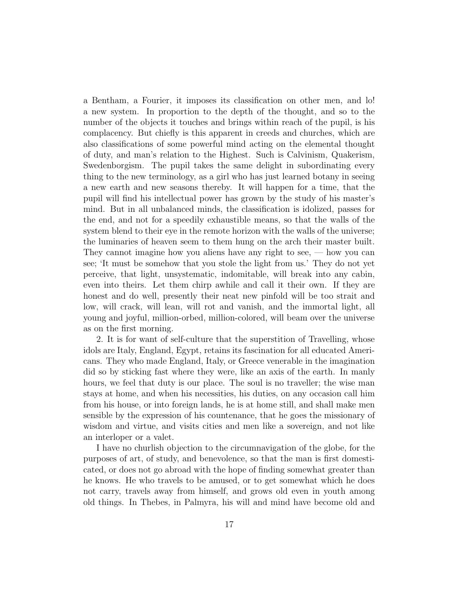a Bentham, a Fourier, it imposes its classification on other men, and lo! a new system. In proportion to the depth of the thought, and so to the number of the objects it touches and brings within reach of the pupil, is his complacency. But chiefly is this apparent in creeds and churches, which are also classifications of some powerful mind acting on the elemental thought of duty, and man's relation to the Highest. Such is Calvinism, Quakerism, Swedenborgism. The pupil takes the same delight in subordinating every thing to the new terminology, as a girl who has just learned botany in seeing a new earth and new seasons thereby. It will happen for a time, that the pupil will find his intellectual power has grown by the study of his master's mind. But in all unbalanced minds, the classification is idolized, passes for the end, and not for a speedily exhaustible means, so that the walls of the system blend to their eye in the remote horizon with the walls of the universe; the luminaries of heaven seem to them hung on the arch their master built. They cannot imagine how you aliens have any right to see,  $-$  how you can see; 'It must be somehow that you stole the light from us.' They do not yet perceive, that light, unsystematic, indomitable, will break into any cabin, even into theirs. Let them chirp awhile and call it their own. If they are honest and do well, presently their neat new pinfold will be too strait and low, will crack, will lean, will rot and vanish, and the immortal light, all young and joyful, million-orbed, million-colored, will beam over the universe as on the first morning.

2. It is for want of self-culture that the superstition of Travelling, whose idols are Italy, England, Egypt, retains its fascination for all educated Americans. They who made England, Italy, or Greece venerable in the imagination did so by sticking fast where they were, like an axis of the earth. In manly hours, we feel that duty is our place. The soul is no traveller; the wise man stays at home, and when his necessities, his duties, on any occasion call him from his house, or into foreign lands, he is at home still, and shall make men sensible by the expression of his countenance, that he goes the missionary of wisdom and virtue, and visits cities and men like a sovereign, and not like an interloper or a valet.

I have no churlish objection to the circumnavigation of the globe, for the purposes of art, of study, and benevolence, so that the man is first domesticated, or does not go abroad with the hope of finding somewhat greater than he knows. He who travels to be amused, or to get somewhat which he does not carry, travels away from himself, and grows old even in youth among old things. In Thebes, in Palmyra, his will and mind have become old and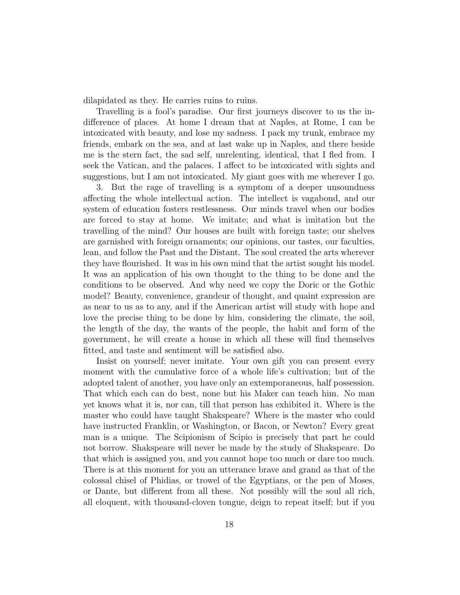dilapidated as they. He carries ruins to ruins.

Travelling is a fool's paradise. Our first journeys discover to us the indifference of places. At home I dream that at Naples, at Rome, I can be intoxicated with beauty, and lose my sadness. I pack my trunk, embrace my friends, embark on the sea, and at last wake up in Naples, and there beside me is the stern fact, the sad self, unrelenting, identical, that I fled from. I seek the Vatican, and the palaces. I affect to be intoxicated with sights and suggestions, but I am not intoxicated. My giant goes with me wherever I go.

3. But the rage of travelling is a symptom of a deeper unsoundness affecting the whole intellectual action. The intellect is vagabond, and our system of education fosters restlessness. Our minds travel when our bodies are forced to stay at home. We imitate; and what is imitation but the travelling of the mind? Our houses are built with foreign taste; our shelves are garnished with foreign ornaments; our opinions, our tastes, our faculties, lean, and follow the Past and the Distant. The soul created the arts wherever they have flourished. It was in his own mind that the artist sought his model. It was an application of his own thought to the thing to be done and the conditions to be observed. And why need we copy the Doric or the Gothic model? Beauty, convenience, grandeur of thought, and quaint expression are as near to us as to any, and if the American artist will study with hope and love the precise thing to be done by him, considering the climate, the soil, the length of the day, the wants of the people, the habit and form of the government, he will create a house in which all these will find themselves fitted, and taste and sentiment will be satisfied also.

Insist on yourself; never imitate. Your own gift you can present every moment with the cumulative force of a whole life's cultivation; but of the adopted talent of another, you have only an extemporaneous, half possession. That which each can do best, none but his Maker can teach him. No man yet knows what it is, nor can, till that person has exhibited it. Where is the master who could have taught Shakspeare? Where is the master who could have instructed Franklin, or Washington, or Bacon, or Newton? Every great man is a unique. The Scipionism of Scipio is precisely that part he could not borrow. Shakspeare will never be made by the study of Shakspeare. Do that which is assigned you, and you cannot hope too much or dare too much. There is at this moment for you an utterance brave and grand as that of the colossal chisel of Phidias, or trowel of the Egyptians, or the pen of Moses, or Dante, but different from all these. Not possibly will the soul all rich, all eloquent, with thousand-cloven tongue, deign to repeat itself; but if you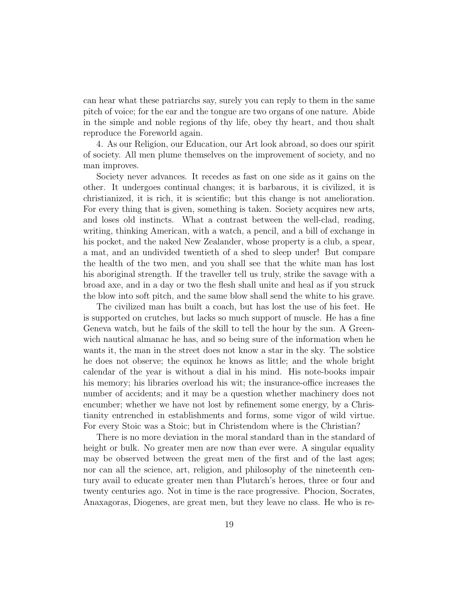can hear what these patriarchs say, surely you can reply to them in the same pitch of voice; for the ear and the tongue are two organs of one nature. Abide in the simple and noble regions of thy life, obey thy heart, and thou shalt reproduce the Foreworld again.

4. As our Religion, our Education, our Art look abroad, so does our spirit of society. All men plume themselves on the improvement of society, and no man improves.

Society never advances. It recedes as fast on one side as it gains on the other. It undergoes continual changes; it is barbarous, it is civilized, it is christianized, it is rich, it is scientific; but this change is not amelioration. For every thing that is given, something is taken. Society acquires new arts, and loses old instincts. What a contrast between the well-clad, reading, writing, thinking American, with a watch, a pencil, and a bill of exchange in his pocket, and the naked New Zealander, whose property is a club, a spear, a mat, and an undivided twentieth of a shed to sleep under! But compare the health of the two men, and you shall see that the white man has lost his aboriginal strength. If the traveller tell us truly, strike the savage with a broad axe, and in a day or two the flesh shall unite and heal as if you struck the blow into soft pitch, and the same blow shall send the white to his grave.

The civilized man has built a coach, but has lost the use of his feet. He is supported on crutches, but lacks so much support of muscle. He has a fine Geneva watch, but he fails of the skill to tell the hour by the sun. A Greenwich nautical almanac he has, and so being sure of the information when he wants it, the man in the street does not know a star in the sky. The solstice he does not observe; the equinox he knows as little; and the whole bright calendar of the year is without a dial in his mind. His note-books impair his memory; his libraries overload his wit; the insurance-office increases the number of accidents; and it may be a question whether machinery does not encumber; whether we have not lost by refinement some energy, by a Christianity entrenched in establishments and forms, some vigor of wild virtue. For every Stoic was a Stoic; but in Christendom where is the Christian?

There is no more deviation in the moral standard than in the standard of height or bulk. No greater men are now than ever were. A singular equality may be observed between the great men of the first and of the last ages; nor can all the science, art, religion, and philosophy of the nineteenth century avail to educate greater men than Plutarch's heroes, three or four and twenty centuries ago. Not in time is the race progressive. Phocion, Socrates, Anaxagoras, Diogenes, are great men, but they leave no class. He who is re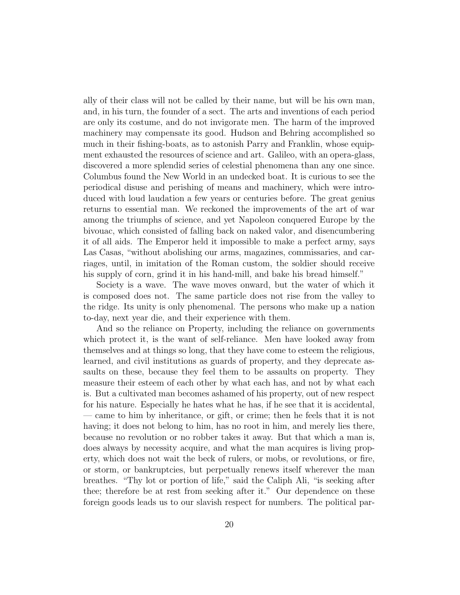ally of their class will not be called by their name, but will be his own man, and, in his turn, the founder of a sect. The arts and inventions of each period are only its costume, and do not invigorate men. The harm of the improved machinery may compensate its good. Hudson and Behring accomplished so much in their fishing-boats, as to astonish Parry and Franklin, whose equipment exhausted the resources of science and art. Galileo, with an opera-glass, discovered a more splendid series of celestial phenomena than any one since. Columbus found the New World in an undecked boat. It is curious to see the periodical disuse and perishing of means and machinery, which were introduced with loud laudation a few years or centuries before. The great genius returns to essential man. We reckoned the improvements of the art of war among the triumphs of science, and yet Napoleon conquered Europe by the bivouac, which consisted of falling back on naked valor, and disencumbering it of all aids. The Emperor held it impossible to make a perfect army, says Las Casas, "without abolishing our arms, magazines, commissaries, and carriages, until, in imitation of the Roman custom, the soldier should receive his supply of corn, grind it in his hand-mill, and bake his bread himself."

Society is a wave. The wave moves onward, but the water of which it is composed does not. The same particle does not rise from the valley to the ridge. Its unity is only phenomenal. The persons who make up a nation to-day, next year die, and their experience with them.

And so the reliance on Property, including the reliance on governments which protect it, is the want of self-reliance. Men have looked away from themselves and at things so long, that they have come to esteem the religious, learned, and civil institutions as guards of property, and they deprecate assaults on these, because they feel them to be assaults on property. They measure their esteem of each other by what each has, and not by what each is. But a cultivated man becomes ashamed of his property, out of new respect for his nature. Especially he hates what he has, if he see that it is accidental, — came to him by inheritance, or gift, or crime; then he feels that it is not having; it does not belong to him, has no root in him, and merely lies there, because no revolution or no robber takes it away. But that which a man is, does always by necessity acquire, and what the man acquires is living property, which does not wait the beck of rulers, or mobs, or revolutions, or fire, or storm, or bankruptcies, but perpetually renews itself wherever the man breathes. "Thy lot or portion of life," said the Caliph Ali, "is seeking after thee; therefore be at rest from seeking after it." Our dependence on these foreign goods leads us to our slavish respect for numbers. The political par